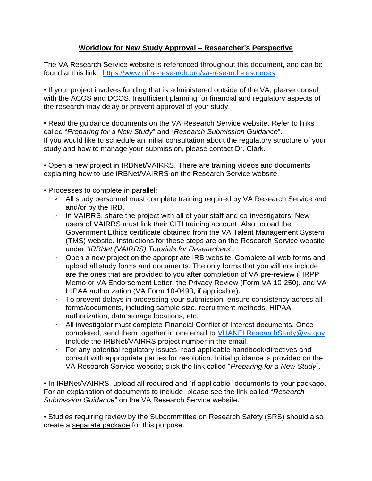## **Workflow for New Study Approval – Researcher's Perspective**

The VA Research Service website is referenced throughout this document, and can be found at this link: <https://www.nffre-research.org/va-research-resources>

• If your project involves funding that is administered outside of the VA, please consult with the ACOS and DCOS. Insufficient planning for financial and regulatory aspects of the research may delay or prevent approval of your study.

• Read the guidance documents on the VA Research Service website. Refer to links called "*Preparing for a New Study*" and "*Research Submission Guidance*". If you would like to schedule an initial consultation about the regulatory structure of your study and how to manage your submission, please contact Dr. Clark.

• Open a new project in IRBNet/VAIRRS. There are training videos and documents explaining how to use IRBNet/VAIRRS on the Research Service website.

- Processes to complete in parallel:
	- All study personnel must complete training required by VA Research Service and and/or by the IRB.
	- In VAIRRS, share the project with all of your staff and co-investigators. New users of VAIRRS must link their CITI training account. Also upload the Government Ethics certificate obtained from the VA Talent Management System (TMS) website. Instructions for these steps are on the Research Service website under "*IRBNet (VAIRRS) Tutorials for Researchers*".
	- Open a new project on the appropriate IRB website. Complete all web forms and upload all study forms and documents. The only forms that you will not include are the ones that are provided to you after completion of VA pre-review (HRPP Memo or VA Endorsement Letter, the Privacy Review (Form VA 10-250), and VA HIPAA authorization (VA Form 10-0493, if applicable).
	- To prevent delays in processing your submission, ensure consistency across all forms/documents, including sample size, recruitment methods, HIPAA authorization, data storage locations, etc.
	- All investigator must complete Financial Conflict of Interest documents. Once completed, send them together in one email to [VHANFLResearchStudy@va.gov.](mailto:VHANFLResearchStudy@va.gov) Include the IRBNet/VAIRRS project number in the email.
	- For any potential regulatory issues, read applicable handbook/directives and consult with appropriate parties for resolution. Initial guidance is provided on the VA Research Service website; click the link called "*Preparing for a New Study*".

• In IRBNet/VAIRRS, upload all required and "if applicable" documents to your package. For an explanation of documents to include, please see the link called "*Research Submission Guidance*" on the VA Research Service website.

• Studies requiring review by the Subcommittee on Research Safety (SRS) should also create a separate package for this purpose.